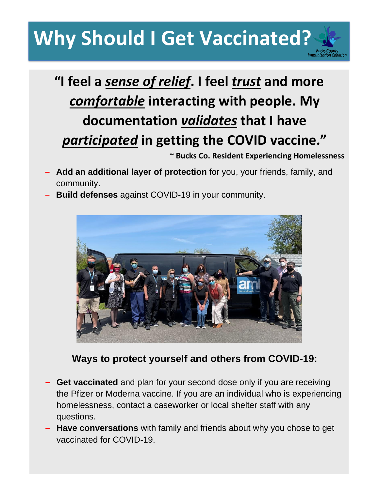# **Why Should I Get Vaccinated?**

### **"I feel a** *sense of relief***. I feel** *trust* **and more**  *comfortable* **interacting with people. My documentation** *validates* **that I have**  *participated* **in getting the COVID vaccine."**

**~ Bucks Co. Resident Experiencing Homelessness**

- **− Add an additional layer of protection** for you, your friends, family, and community.
- **− Build defenses** against COVID-19 in your community.



#### **Ways to protect yourself and others from COVID-19:**

- **− Get vaccinated** and plan for your second dose only if you are receiving the Pfizer or Moderna vaccine. If you are an individual who is experiencing homelessness, contact a caseworker or local shelter staff with any questions.
- **− Have conversations** with family and friends about why you chose to get vaccinated for COVID-19.